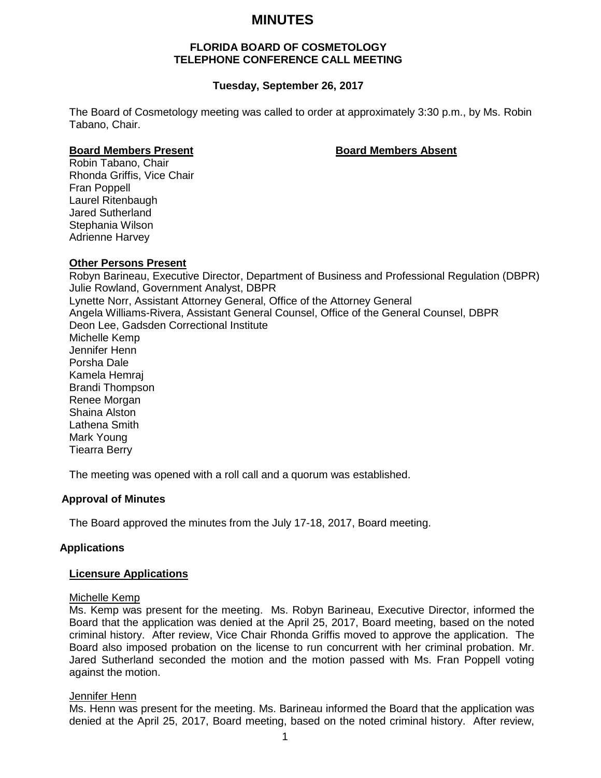# **MINUTES**

# **FLORIDA BOARD OF COSMETOLOGY TELEPHONE CONFERENCE CALL MEETING**

# **Tuesday, September 26, 2017**

The Board of Cosmetology meeting was called to order at approximately 3:30 p.m., by Ms. Robin Tabano, Chair.

#### **Board Members Present Board Members Absent**

Robin Tabano, Chair Rhonda Griffis, Vice Chair Fran Poppell Laurel Ritenbaugh Jared Sutherland Stephania Wilson Adrienne Harvey

# **Other Persons Present**

Robyn Barineau, Executive Director, Department of Business and Professional Regulation (DBPR) Julie Rowland, Government Analyst, DBPR Lynette Norr, Assistant Attorney General, Office of the Attorney General Angela Williams-Rivera, Assistant General Counsel, Office of the General Counsel, DBPR Deon Lee, Gadsden Correctional Institute Michelle Kemp Jennifer Henn Porsha Dale Kamela Hemraj Brandi Thompson Renee Morgan Shaina Alston Lathena Smith Mark Young Tiearra Berry

The meeting was opened with a roll call and a quorum was established.

# **Approval of Minutes**

The Board approved the minutes from the July 17-18, 2017, Board meeting.

# **Applications**

# **Licensure Applications**

# Michelle Kemp

Ms. Kemp was present for the meeting. Ms. Robyn Barineau, Executive Director, informed the Board that the application was denied at the April 25, 2017, Board meeting, based on the noted criminal history. After review, Vice Chair Rhonda Griffis moved to approve the application. The Board also imposed probation on the license to run concurrent with her criminal probation. Mr. Jared Sutherland seconded the motion and the motion passed with Ms. Fran Poppell voting against the motion.

# Jennifer Henn

Ms. Henn was present for the meeting. Ms. Barineau informed the Board that the application was denied at the April 25, 2017, Board meeting, based on the noted criminal history. After review,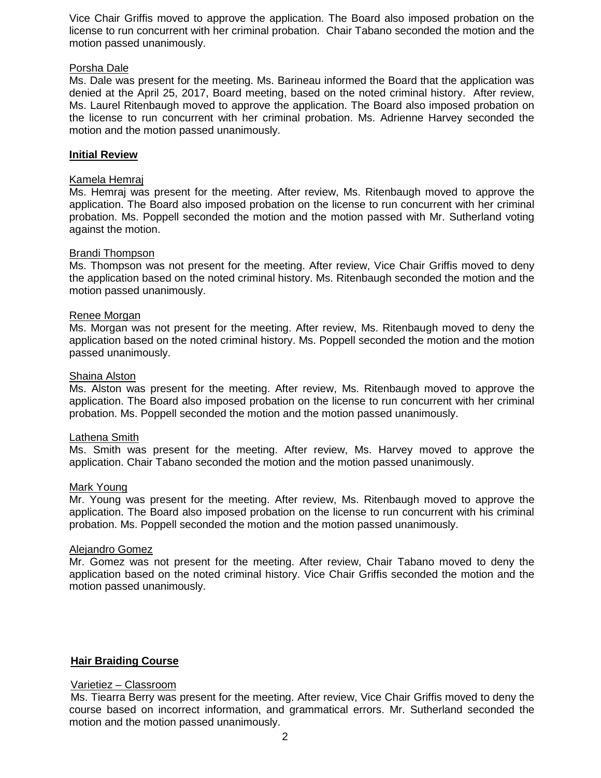Vice Chair Griffis moved to approve the application. The Board also imposed probation on the license to run concurrent with her criminal probation. Chair Tabano seconded the motion and the motion passed unanimously.

# Porsha Dale

Ms. Dale was present for the meeting. Ms. Barineau informed the Board that the application was denied at the April 25, 2017, Board meeting, based on the noted criminal history. After review, Ms. Laurel Ritenbaugh moved to approve the application. The Board also imposed probation on the license to run concurrent with her criminal probation. Ms. Adrienne Harvey seconded the motion and the motion passed unanimously.

# **Initial Review**

# Kamela Hemraj

Ms. Hemraj was present for the meeting. After review, Ms. Ritenbaugh moved to approve the application. The Board also imposed probation on the license to run concurrent with her criminal probation. Ms. Poppell seconded the motion and the motion passed with Mr. Sutherland voting against the motion.

# Brandi Thompson

Ms. Thompson was not present for the meeting. After review, Vice Chair Griffis moved to deny the application based on the noted criminal history. Ms. Ritenbaugh seconded the motion and the motion passed unanimously.

# Renee Morgan

Ms. Morgan was not present for the meeting. After review, Ms. Ritenbaugh moved to deny the application based on the noted criminal history. Ms. Poppell seconded the motion and the motion passed unanimously.

# Shaina Alston

Ms. Alston was present for the meeting. After review, Ms. Ritenbaugh moved to approve the application. The Board also imposed probation on the license to run concurrent with her criminal probation. Ms. Poppell seconded the motion and the motion passed unanimously.

# Lathena Smith

Ms. Smith was present for the meeting. After review, Ms. Harvey moved to approve the application. Chair Tabano seconded the motion and the motion passed unanimously.

# Mark Young

Mr. Young was present for the meeting. After review, Ms. Ritenbaugh moved to approve the application. The Board also imposed probation on the license to run concurrent with his criminal probation. Ms. Poppell seconded the motion and the motion passed unanimously.

# Alejandro Gomez

Mr. Gomez was not present for the meeting. After review, Chair Tabano moved to deny the application based on the noted criminal history. Vice Chair Griffis seconded the motion and the motion passed unanimously.

# **Hair Braiding Course**

# Varietiez – Classroom

Ms. Tiearra Berry was present for the meeting. After review, Vice Chair Griffis moved to deny the course based on incorrect information, and grammatical errors. Mr. Sutherland seconded the motion and the motion passed unanimously.